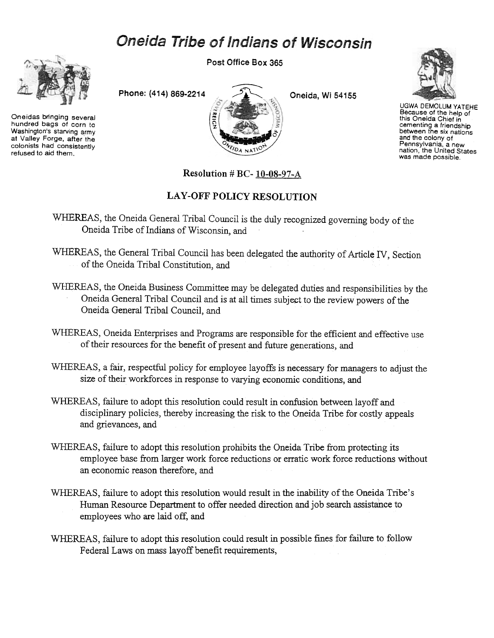## Oneida Tribe of Indians of Wisconsin



Oneidas bringing several hundred bags of corn to Washington's starving army at Valley Forge, after the colonists had consistently refused to aid them.

Post Office Box 365





UGWA DEMOLUM YATEHE Because of the help of this Oneida Chief in cementing a friendship<br>between the six nation and the colony of Pennsylvania. a new nation, the United States was made possible.

Resolution # BC- 10-08-97-A

## LAY-OFF POLICY RESOLUTION

WHEREAS, the Oneida General Tribal Council is the duly recognized governing body of the Oneida Tribe of Indians of Wisconsin, and

- WHEREAS, the General Tribal Council has been delegated the authority of Article IV, Section of the Oneida Tribal Constitution, and
- WHEREAS, the Oneida Business Committee may be delegated duties and respensibilities by the Oneida General Tribal Council and is at all times subject to the review powers of the Oneida General Tribal Council, and
- WHEREAS, Oneida Enterprises and Programs are responsible for the efficient and effective use of their resources for the benefit of present and future generations, and
- WHEREAS, a fair, respectful policy for employee layoffs is necessary for managers to adjust the size of their workforces in response to varying economic conditions, and
- WHEREAS, failure to adopt this resolution could result in confusion between layoff and disciplinary policies, thereby increasing the risk to the Oneida Tribe for costly appeals and grievances, and
- WHEREAS, failure to adopt this resolution prohibits the Oneida Tribe from protecting its employee base from larger work force reductions or erratic work force reductions without an economic reason therefore, and
- WHEREAS, failure to adopt this resolution would result in the inability of the Oneida Tribe's Human Resource Department to offer needed direction and job search assistance to employees who are laid off, and
- WHEREAS, failure to adopt this resolution could result in possible fines for failure to follow Federal Laws on mass layoff benefit requirements,